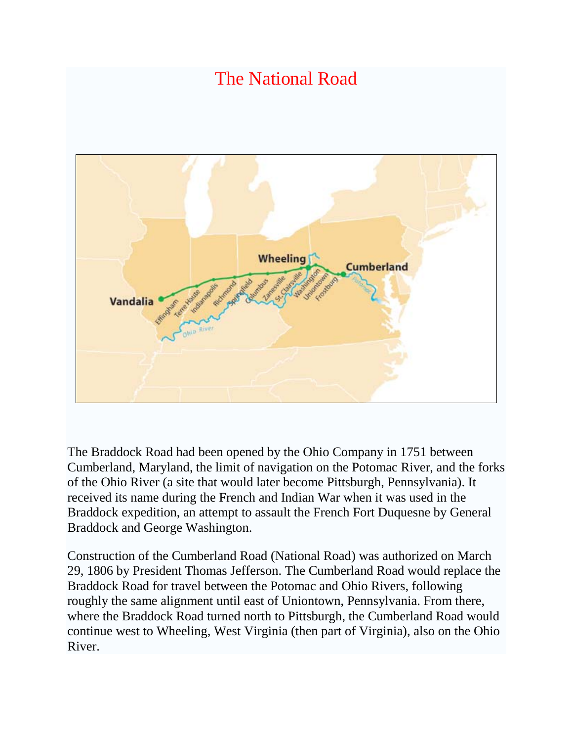

The Braddock Road had been opened by the Ohio [Company](http://en.wikipedia.org/wiki/Ohio_Company) in 1751 between Cumberland, Maryland, the limit of navigation on the [Potomac River,](http://en.wikipedia.org/wiki/Potomac_River) and the forks of the Ohio River (a site that would later become [Pittsburgh, Pennsylvania\)](http://en.wikipedia.org/wiki/Pittsburgh,_Pennsylvania). It received its name during the [French and Indian War](http://en.wikipedia.org/wiki/French_and_Indian_War) when it was used in the [Braddock expedition,](http://en.wikipedia.org/wiki/Braddock_expedition) an attempt to assault the French [Fort Duquesne](http://en.wikipedia.org/wiki/Fort_Duquesne) by [General](http://en.wikipedia.org/wiki/General_Braddock)  [Braddock](http://en.wikipedia.org/wiki/General_Braddock) and [George Washington.](http://en.wikipedia.org/wiki/George_Washington)

Construction of the Cumberland Road (National Road) was authorized on [March](http://en.wikipedia.org/wiki/March_29)  [29,](http://en.wikipedia.org/wiki/March_29) [1806](http://en.wikipedia.org/wiki/1806) by President [Thomas Jefferson.](http://en.wikipedia.org/wiki/Thomas_Jefferson) The Cumberland Road would replace the Braddock Road for travel between the Potomac and Ohio Rivers, following roughly the same alignment until east of [Uniontown, Pennsylvania.](http://en.wikipedia.org/wiki/Uniontown,_Pennsylvania) From there, where the Braddock Road turned north to Pittsburgh, the Cumberland Road would continue west to [Wheeling, West Virginia](http://en.wikipedia.org/wiki/Wheeling,_West_Virginia) (then part of [Virginia\)](http://en.wikipedia.org/wiki/Virginia), also on the Ohio River.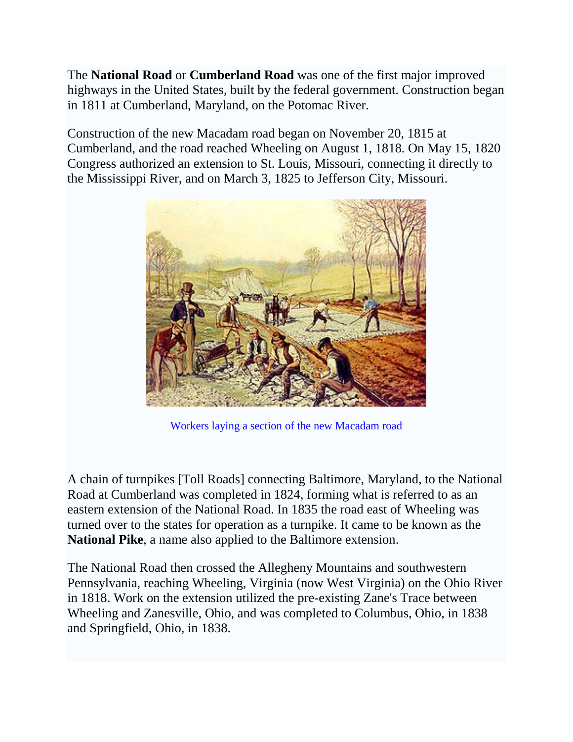The **National Road** or **Cumberland Road** was one of the first major improved highways in the United States, built by the federal government. Construction began in 1811 at [Cumberland, Maryland,](http://en.wikipedia.org/wiki/Cumberland,_Maryland) on the [Potomac](http://en.wikipedia.org/wiki/Potomac_River) River.

Construction of the new Macadam road began on [November 20,](http://en.wikipedia.org/wiki/November_20) [1815](http://en.wikipedia.org/wiki/1815) at Cumberland, and the road reached Wheeling on [August 1,](http://en.wikipedia.org/wiki/August_1) [1818.](http://en.wikipedia.org/wiki/1818) On [May 15,](http://en.wikipedia.org/wiki/May_15) [1820](http://en.wikipedia.org/wiki/1820) Congress authorized an extension to [St. Louis, Missouri,](http://en.wikipedia.org/wiki/St._Louis,_Missouri) connecting it directly to the [Mississippi River,](http://en.wikipedia.org/wiki/Mississippi_River) and on [March 3,](http://en.wikipedia.org/wiki/March_3) [1825](http://en.wikipedia.org/wiki/1825) to [Jefferson City, Missouri.](http://en.wikipedia.org/wiki/Jefferson_City,_Missouri)



Workers laying a section of the new Macadam road

A chain of turnpikes [Toll Roads] connecting [Baltimore, Maryland,](http://en.wikipedia.org/wiki/Baltimore,_Maryland) to the National Road at Cumberland was completed in 1824, forming what is referred to as an eastern extension of the National Road. In 1835 the road east of Wheeling was turned over to the states for operation as a turnpike. It came to be known as the **National Pike**, a name also applied to the Baltimore extension.

The National Road then crossed the [Allegheny Mountains](http://en.wikipedia.org/wiki/Allegheny_Mountains) and southwestern [Pennsylvania,](http://en.wikipedia.org/wiki/Pennsylvania) reaching [Wheeling, Virginia](http://en.wikipedia.org/wiki/Wheeling,_Virginia) (now [West Virginia\)](http://en.wikipedia.org/wiki/West_Virginia) on the [Ohio River](http://en.wikipedia.org/wiki/Ohio_River) in 1818. Work on the extension utilized the pre-existing [Zane's Trace](http://en.wikipedia.org/wiki/Zane%27s_Trace) between Wheeling and [Zanesville, Ohio,](http://en.wikipedia.org/wiki/Zanesville,_Ohio) and was completed to [Columbus, Ohio,](http://en.wikipedia.org/wiki/Columbus,_Ohio) in 1838 and [Springfield, Ohio,](http://en.wikipedia.org/wiki/Springfield,_Ohio) in 1838.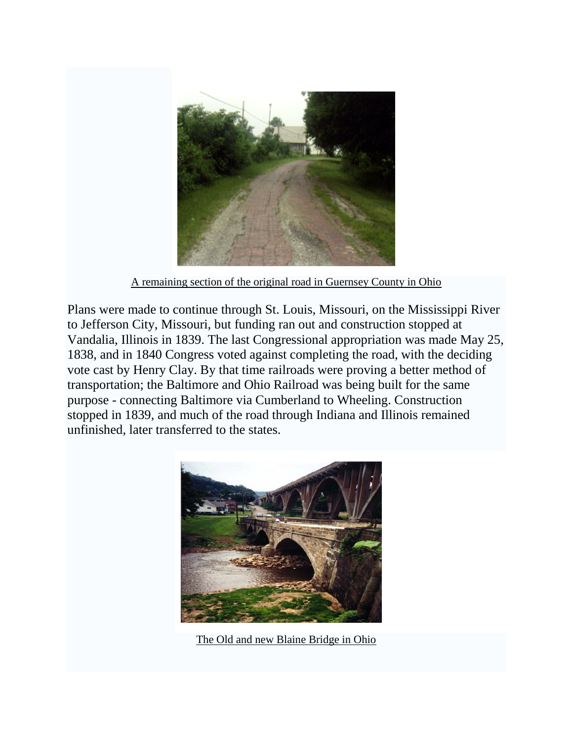

A remaining section of the original road in Guernsey County in Ohio

Plans were made to continue through [St. Louis, Missouri,](http://en.wikipedia.org/wiki/St._Louis,_Missouri) on the [Mississippi River](http://en.wikipedia.org/wiki/Mississippi_River) to [Jefferson City, Missouri,](http://en.wikipedia.org/wiki/Jefferson_City,_Missouri) but funding ran out and construction stopped at [Vandalia, Illinois](http://en.wikipedia.org/wiki/Vandalia,_Illinois) in 1839. The last Congressional [appropriation](http://en.wikipedia.org/wiki/Appropriation) was made [May 25,](http://en.wikipedia.org/wiki/May_25) [1838,](http://en.wikipedia.org/wiki/1838) and in 1840 Congress voted against completing the road, with the deciding vote cast by [Henry Clay.](http://en.wikipedia.org/wiki/Henry_Clay) By that time [railroads](http://en.wikipedia.org/wiki/Railroad) were proving a better method of transportation; the [Baltimore and Ohio Railroad](http://en.wikipedia.org/wiki/Baltimore_and_Ohio_Railroad) was being built for the same purpose - connecting Baltimore via Cumberland to Wheeling. Construction stopped in 1839, and much of the road through Indiana and Illinois remained unfinished, later transferred to the states.



The Old and new Blaine Bridge in Ohio